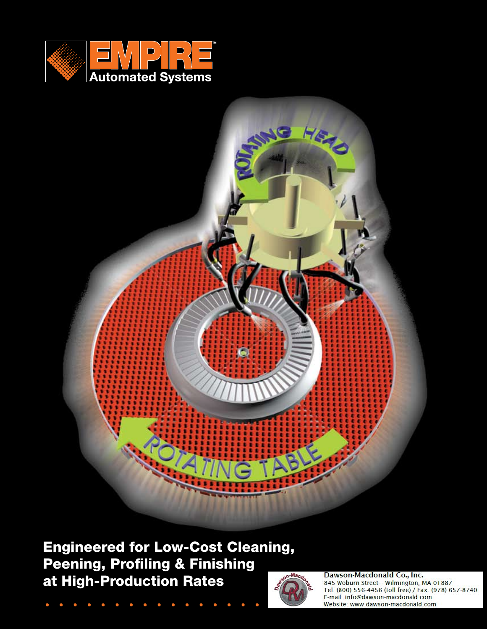



Engineered for Low-Cost Cleaning, Peening, Profiling & Finishing at High-Production Rates



Dawson-Macdonald Co., Inc. 845 Woburn Street - Wilmington, MA 01887 Tel: (800) 556-4456 (toll free) / Fax: (978) 657-8740 E-mail: info@dawson-macdonald.com Website: www.dawson-macdonald.com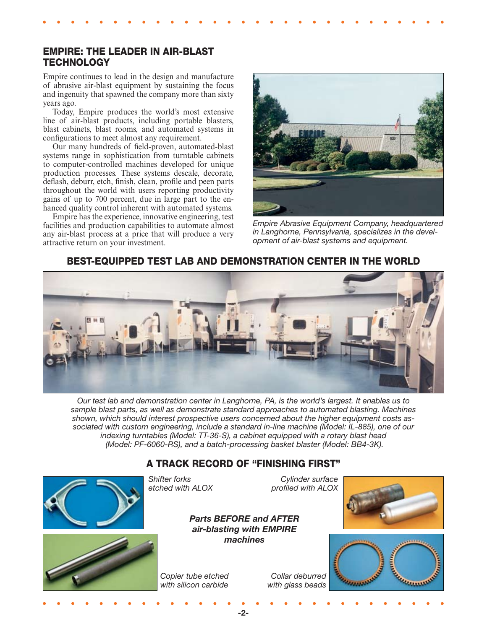## EMPIRE: THE LEADER IN AIR-BLAST **TECHNOLOGY**

Empire continues to lead in the design and manufacture of abrasive air-blast equipment by sustaining the focus and ingenuity that spawned the company more than sixty years ago.

 Today, Empire produces the world's most extensive line of air-blast products, including portable blasters, blast cabinets, blast rooms, and automated systems in configurations to meet almost any requirement.

 Our many hundreds of field-proven, automated-blast systems range in sophistication from turntable cabinets to computer-controlled machines developed for unique production processes. These systems descale, decorate, deflash, deburr, etch, finish, clean, profile and peen parts throughout the world with users reporting productivity gains of up to 700 percent, due in large part to the enhanced quality control inherent with automated systems.

 Empire has the experience, innovative engineering, test facilities and production capabilities to automate almost any air-blast process at a price that will produce a very attractive return on your investment.



*Empire Abrasive Equipment Company, headquartered in Langhorne, Pennsylvania, specializes in the development of air-blast systems and equipment.*

### BEST-EQUIPPED TEST LAB AND DEMONSTRATION CENTER IN THE WORLD



*Our test lab and demonstration center in Langhorne, PA, is the world's largest. It enables us to sample blast parts, as well as demonstrate standard approaches to automated blasting. Machines shown, which should interest prospective users concerned about the higher equipment costs associated with custom engineering, include a standard in-line machine (Model: IL-885), one of our indexing turntables (Model: TT-36-S), a cabinet equipped with a rotary blast head (Model: PF-6060-RS), and a batch-processing basket blaster (Model: BB4-3K).*

# A TRACK RECORD OF "FINISHING FIRST"



-2-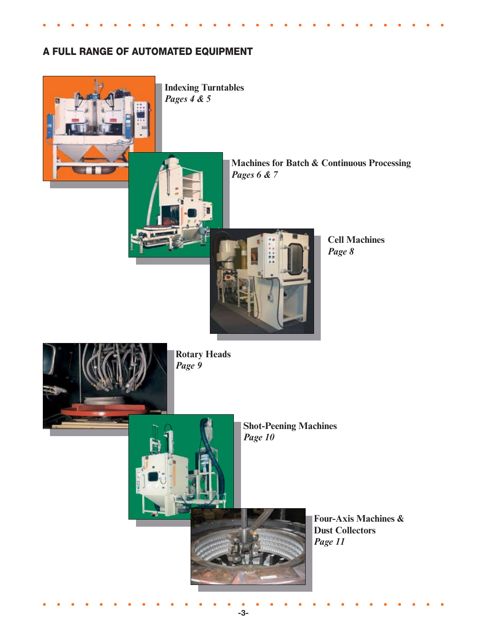# A FULL RANGE OF AUTOMATED EQUIPMENT



-3-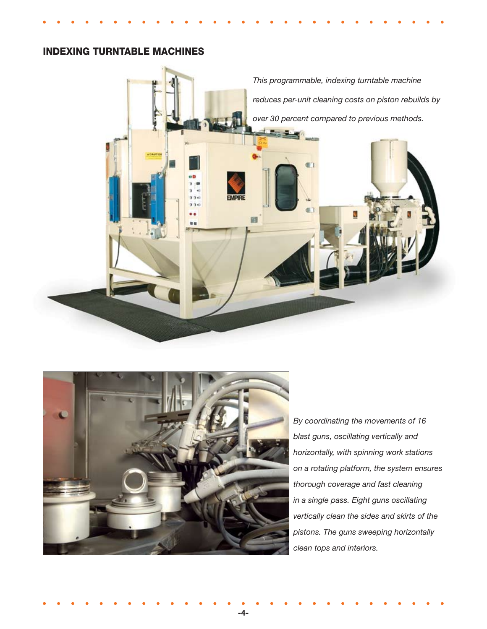# INDEXING TURNTABLE MACHINES





*By coordinating the movements of 16 blast guns, oscillating vertically and horizontally, with spinning work stations on a rotating platform, the system ensures thorough coverage and fast cleaning in a single pass. Eight guns oscillating vertically clean the sides and skirts of the pistons. The guns sweeping horizontally clean tops and interiors.*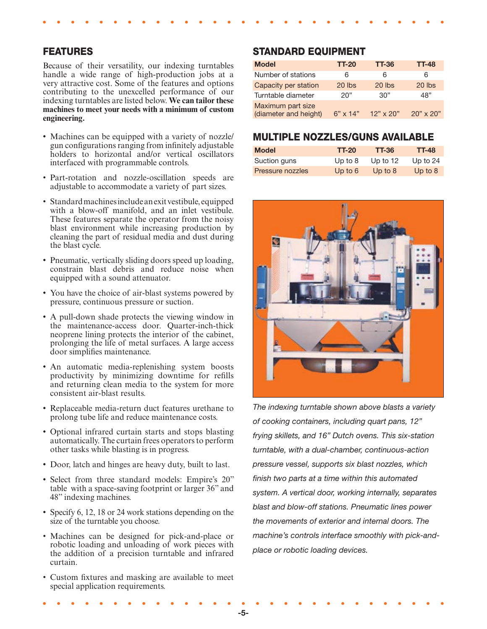#### FEATURES

Because of their versatility, our indexing turntables handle a wide range of high-production jobs at a very attractive cost. Some of the features and options contributing to the unexcelled performance of our indexing turntables are listed below. **We can tailor these machines to meet your needs with a minimum of custom engineering.**

- Machines can be equipped with a variety of nozzle/ gun configurations ranging from infinitely adjustable holders to horizontal and/or vertical oscillators interfaced with programmable controls.
- Part-rotation and nozzle-oscillation speeds are adjustable to accommodate a variety of part sizes.
- Standard machines include an exit vestibule, equipped with a blow-off manifold, and an inlet vestibule. These features separate the operator from the noisy blast environment while increasing production by cleaning the part of residual media and dust during the blast cycle.
- Pneumatic, vertically sliding doors speed up loading, constrain blast debris and reduce noise when equipped with a sound attenuator.
- You have the choice of air-blast systems powered by pressure, continuous pressure or suction.
- A pull-down shade protects the viewing window in the maintenance-access door. Quarter-inch-thick neoprene lining protects the interior of the cabinet, prolonging the life of metal surfaces. A large access door simplifies maintenance.
- An automatic media-replenishing system boosts productivity by minimizing downtime for refills and returning clean media to the system for more consistent air-blast results.
- Replaceable media-return duct features urethane to prolong tube life and reduce maintenance costs.
- Optional infrared curtain starts and stops blasting automatically. The curtain frees operators to perform other tasks while blasting is in progress.
- Door, latch and hinges are heavy duty, built to last. •
- Select from three standard models: Empire's 20" table with a space-saving footprint or larger 36" and 48" indexing machines.
- Specify 6, 12, 18 or 24 work stations depending on the size of the turntable you choose.
- Machines can be designed for pick-and-place or robotic loading and unloading of work pieces with the addition of a precision turntable and infrared curtain.
- Custom fixtures and masking are available to meet special application requirements.

#### STANDARD EQUIPMENT

| <b>Model</b>                               | <b>TT-20</b>    | <b>TT-36</b>     | <b>TT-48</b>     |
|--------------------------------------------|-----------------|------------------|------------------|
| Number of stations                         | 6               | 6                | 6                |
| Capacity per station                       | $20$ lbs        | $20$ lbs         | $20$ lbs         |
| Turntable diameter                         | 20"             | 30"              | 48"              |
| Maximum part size<br>(diameter and height) | $6" \times 14"$ | $12" \times 20"$ | $20" \times 20"$ |

#### MULTIPLE NOZZLES/GUNS AVAILABLE

| <b>Model</b>     | <b>TT-20</b> | <b>TT-36</b> | <b>TT-48</b> |
|------------------|--------------|--------------|--------------|
| Suction guns     | Up to $8$    | Up to $12$   | Up to $24$   |
| Pressure nozzles | Up to $6$    | Up to $8$    | Up to $8$    |



*The indexing turntable shown above blasts a variety of cooking containers, including quart pans, 12" frying skillets, and 16" Dutch ovens. This six-station turntable, with a dual-chamber, continuous-action pressure vessel, supports six blast nozzles, which finish two parts at a time within this automated system. A vertical door, working internally, separates blast and blow-off stations. Pneumatic lines power the movements of exterior and internal doors. The machine's controls interface smoothly with pick-andplace or robotic loading devices.*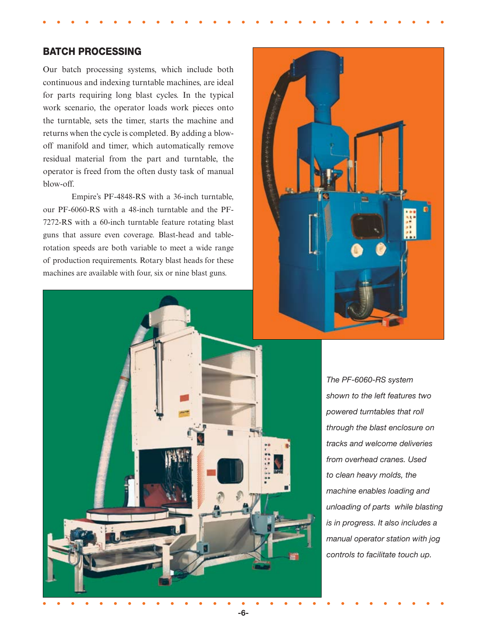### BATCH PROCESSING

Our batch processing systems, which include both continuous and indexing turntable machines, are ideal for parts requiring long blast cycles. In the typical work scenario, the operator loads work pieces onto the turntable, sets the timer, starts the machine and returns when the cycle is completed. By adding a blowoff manifold and timer, which automatically remove residual material from the part and turntable, the operator is freed from the often dusty task of manual blow-off.

Empire's PF-4848-RS with a 36-inch turntable, our PF-6060-RS with a 48-inch turntable and the PF-7272-RS with a 60-inch turntable feature rotating blast guns that assure even coverage. Blast-head and tablerotation speeds are both variable to meet a wide range of production requirements. Rotary blast heads for these machines are available with four, six or nine blast guns.





*The PF-6060-RS system shown to the left features two powered turntables that roll through the blast enclosure on tracks and welcome deliveries from overhead cranes. Used to clean heavy molds, the machine enables loading and unloading of parts while blasting is in progress. It also includes a manual operator station with jog controls to facilitate touch up.*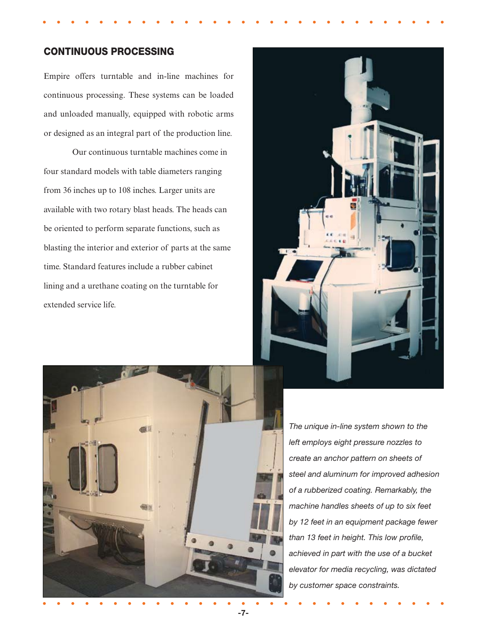## CONTINUOUS PROCESSING

Empire offers turntable and in-line machines for continuous processing. These systems can be loaded and unloaded manually, equipped with robotic arms or designed as an integral part of the production line.

 Our continuous turntable machines come in four standard models with table diameters ranging from 36 inches up to 108 inches. Larger units are available with two rotary blast heads. The heads can be oriented to perform separate functions, such as blasting the interior and exterior of parts at the same time. Standard features include a rubber cabinet lining and a urethane coating on the turntable for extended service life.





*The unique in-line system shown to the left employs eight pressure nozzles to create an anchor pattern on sheets of steel and aluminum for improved adhesion of a rubberized coating. Remarkably, the machine handles sheets of up to six feet by 12 feet in an equipment package fewer than 13 feet in height. This low profile, achieved in part with the use of a bucket elevator for media recycling, was dictated by customer space constraints.*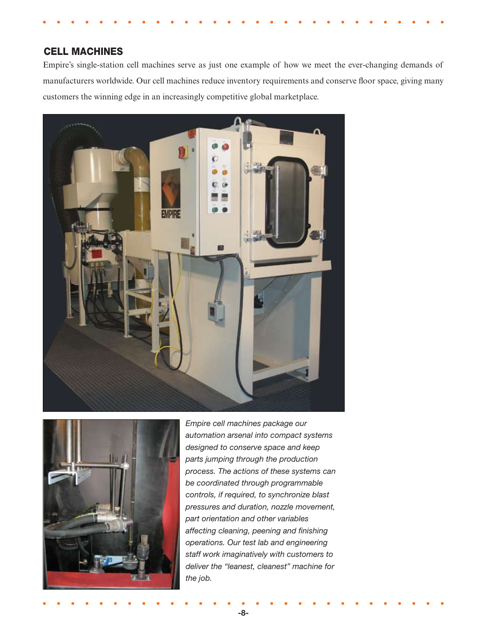## CELL MACHINES

Empire's single-station cell machines serve as just one example of how we meet the ever-changing demands of manufacturers worldwide. Our cell machines reduce inventory requirements and conserve floor space, giving many customers the winning edge in an increasingly competitive global marketplace.





*Empire cell machines package our automation arsenal into compact systems designed to conserve space and keep parts jumping through the production process. The actions of these systems can be coordinated through programmable controls, if required, to synchronize blast pressures and duration, nozzle movement, part orientation and other variables affecting cleaning, peening and finishing operations. Our test lab and engineering staff work imaginatively with customers to deliver the "leanest, cleanest" machine for the job.*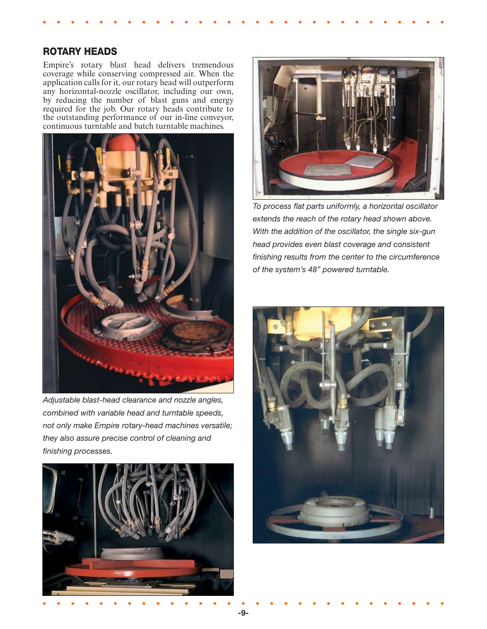#### ROTARY HEADS

Empire's rotary blast head delivers tremendous coverage while conserving compressed air. When the application calls for it, our rotary head will outperform any horizontal-nozzle oscillator, including our own, by reducing the number of blast guns and energy required for the job. Our rotary heads contribute to the outstanding performance of our in-line conveyor, continuous turntable and batch turntable machines.



*Adjustable blast-head clearance and nozzle angles, combined with variable head and turntable speeds, not only make Empire rotary-head machines versatile; they also assure precise control of cleaning and finishing processes.*





*To process flat parts uniformly, a horizontal oscillator extends the reach of the rotary head shown above. With the addition of the oscillator, the single six-gun head provides even blast coverage and consistent finishing results from the center to the circumference of the system's 48" powered turntable.* 

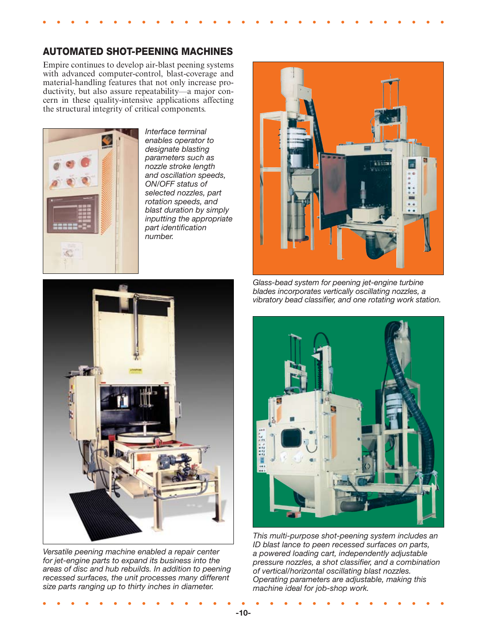## AUTOMATED SHOT-PEENING MACHINES

Empire continues to develop air-blast peening systems with advanced computer-control, blast-coverage and material-handling features that not only increase productivity, but also assure repeatability—a major concern in these quality-intensive applications affecting the structural integrity of critical components.



*Interface terminal enables operator to designate blasting parameters such as nozzle stroke length and oscillation speeds, ON/OFF status of selected nozzles, part rotation speeds, and blast duration by simply inputting the appropriate part identification number.*



*Versatile peening machine enabled a repair center for jet-engine parts to expand its business into the areas of disc and hub rebuilds. In addition to peening recessed surfaces, the unit processes many different size parts ranging up to thirty inches in diameter.*



*Glass-bead system for peening jet-engine turbine blades incorporates vertically oscillating nozzles, a vibratory bead classifier, and one rotating work station.*



*This multi-purpose shot-peening system includes an ID blast lance to peen recessed surfaces on parts, a powered loading cart, independently adjustable pressure nozzles, a shot classifier, and a combination of vertical/horizontal oscillating blast nozzles. Operating parameters are adjustable, making this machine ideal for job-shop work.*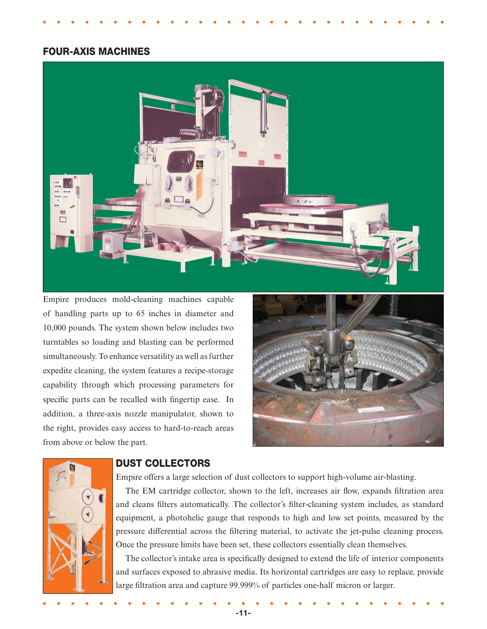#### FOUR-AXIS MACHINES



Empire produces mold-cleaning machines capable of handling parts up to 65 inches in diameter and 10,000 pounds. The system shown below includes two turntables so loading and blasting can be performed simultaneously. To enhance versatility as well as further expedite cleaning, the system features a recipe-storage capability through which processing parameters for specific parts can be recalled with fingertip ease. In addition, a three-axis nozzle manipulator, shown to the right, provides easy access to hard-to-reach areas from above or below the part.





#### DUST COLLECTORS

Empire offers a large selection of dust collectors to support high-volume air-blasting.

The EM cartridge collector, shown to the left, increases air flow, expands filtration area and cleans filters automatically. The collector's filter-cleaning system includes, as standard equipment, a photohelic gauge that responds to high and low set points, measured by the pressure differential across the filtering material, to activate the jet-pulse cleaning process. Once the pressure limits have been set, these collectors essentially clean themselves.

The collector's intake area is specifically designed to extend the life of interior components and surfaces exposed to abrasive media. Its horizontal cartridges are easy to replace, provide large filtration area and capture 99.999% of particles one-half micron or larger.